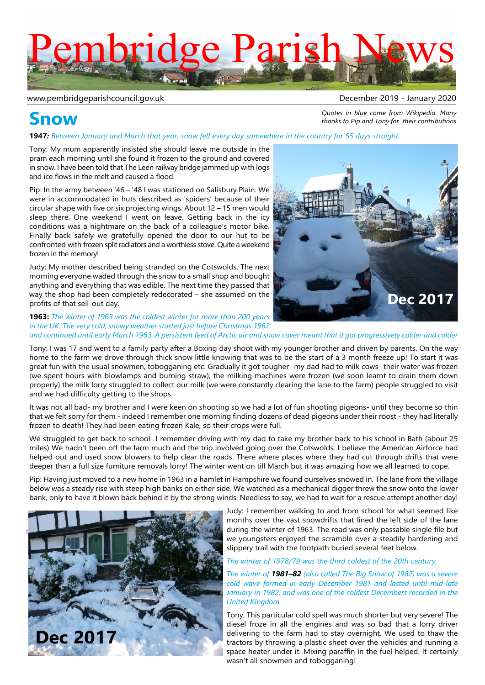# mbridge Parish

#### www.pembridgeparishcouncil.gov.uk by a mate of the control of the December 2019 - January 2020

### **Snow**

*Quotes in blue come from Wikipedia. Many thanks to Pip and Tony for their contributions*

**1947***: Between January and March that year, snow fell every day somewhere in the country for 55 days straight.*

Tony: My mum apparently insisted she should leave me outside in the pram each morning until she found it frozen to the ground and covered in snow. I have been told that The Leen railway bridge jammed up with logs and ice flows in the melt and caused a flood.

Pip: In the army between '46 – '48 I was stationed on Salisbury Plain. We were in accommodated in huts described as 'spiders' because of their circular shape with five or six projecting wings. About 12 – 15 men would sleep there. One weekend I went on leave. Getting back in the icy conditions was a nightmare on the back of a colleague's motor bike. Finally back safely we gratefully opened the door to our hut to be confronted with frozen split radiators and a worthless stove. Quite a weekend frozen in the memory!

Judy: My mother described being stranded on the Cotswolds. The next morning everyone waded through the snow to a small shop and bought anything and everything that was edible. The next time they passed that way the shop had been completely redecorated – she assumed on the profits of that sell-out day.

**1963:** *The winter of 1963 was the coldest winter for more than 200 years in the UK. The very cold, snowy weather started just before Christmas 1962 and continued until early March 1963. A persistent feed of Arctic air and snow cover meant that it got progressively colder and colder*

Tony: I was 17 and went to a family party after a Boxing day shoot with my younger brother and driven by parents. On the way home to the farm we drove through thick snow little knowing that was to be the start of a 3 month freeze up! To start it was great fun with the usual snowmen, tobogganing etc. Gradually it got tougher- my dad had to milk cows- their water was frozen (we spent hours with blowlamps and burning straw), the milking machines were frozen (we soon learnt to drain them down properly) the milk lorry struggled to collect our milk (we were constantly clearing the lane to the farm) people struggled to visit and we had difficulty getting to the shops.

It was not all bad- my brother and I were keen on shooting so we had a lot of fun shooting pigeons- until they become so thin that we felt sorry for them - indeed I remember one morning finding dozens of dead pigeons under their roost - they had literally frozen to death! They had been eating frozen Kale, so their crops were full.

We struggled to get back to school- I remember driving with my dad to take my brother back to his school in Bath (about 25 miles) We hadn't been off the farm much and the trip involved going over the Cotswolds. I believe the American Airforce had helped out and used snow blowers to help clear the roads. There where places where they had cut through drifts that were deeper than a full size furniture removals lorry! The winter went on till March but it was amazing how we all learned to cope.

Pip: Having just moved to a new home in 1963 in a hamlet in Hampshire we found ourselves snowed in. The lane from the village below was a steady rise with steep high banks on either side. We watched as a mechanical digger threw the snow onto the lower bank, only to have it blown back behind it by the strong winds. Needless to say, we had to wait for a rescue attempt another day!



Judy: I remember walking to and from school for what seemed like months over the vast snowdrifts that lined the left side of the lane during the winter of 1963. The road was only passable single file but we youngsters enjoyed the scramble over a steadily hardening and slippery trail with the footpath buried several feet below.

#### *The winter of 1978/79 was the third coldest of the 20th century.*

*The winter of 1981–82 (also called The Big Snow of 1982) was a severe cold wave formed in early December 1981 and lasted until mid-late January in 1982, and was one of the coldest Decembers recorded in the United Kingdom.*

Tony: This particular cold spell was much shorter but very severe! The diesel froze in all the engines and was so bad that a lorry driver delivering to the farm had to stay overnight. We used to thaw the tractors by throwing a plastic sheet over the vehicles and running a space heater under it. Mixing paraffin in the fuel helped. It certainly wasn't all snowmen and tobogganing!

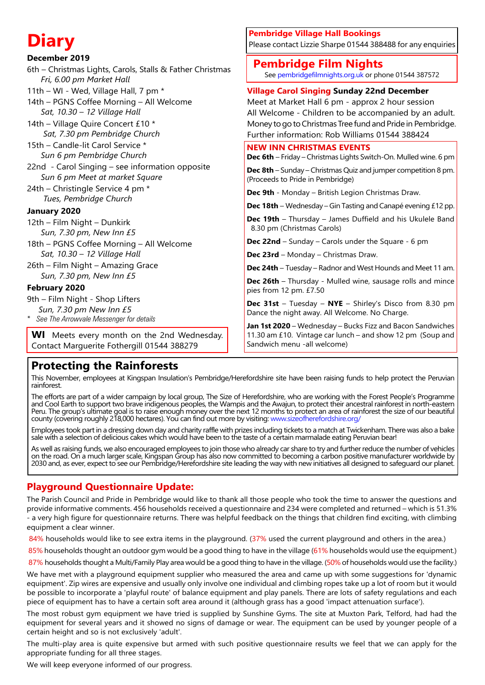| <b>Diary</b>                                                                                                                                                                             | <b>Pembridge Village Hall Bookings</b><br>Please contact Lizzie Sharpe 01544 388488 for any enquiries                                                                                                                                                                          |
|------------------------------------------------------------------------------------------------------------------------------------------------------------------------------------------|--------------------------------------------------------------------------------------------------------------------------------------------------------------------------------------------------------------------------------------------------------------------------------|
| December 2019<br>6th - Christmas Lights, Carols, Stalls & Father Christmas<br>Fri, 6.00 pm Market Hall                                                                                   | <b>Pembridge Film Nights</b><br>See pembridgefilmnights.org.uk or phone 01544 387572                                                                                                                                                                                           |
| 11th - WI - Wed, Village Hall, 7 pm *<br>14th - PGNS Coffee Morning - All Welcome<br>Sat, 10.30 - 12 Village Hall<br>14th - Village Quire Concert £10 *<br>Sat, 7.30 pm Pembridge Church | <b>Village Carol Singing Sunday 22nd December</b><br>Meet at Market Hall 6 pm - approx 2 hour session<br>All Welcome - Children to be accompanied by an adult.<br>Money to go to Christmas Tree fund and Pride in Pembridge.<br>Further information: Rob Williams 01544 388424 |
| 15th - Candle-lit Carol Service *<br>Sun 6 pm Pembridge Church                                                                                                                           | <b>NEW INN CHRISTMAS EVENTS</b><br>Dec 6th - Friday - Christmas Lights Switch-On. Mulled wine. 6 pm                                                                                                                                                                            |
| 22nd - Carol Singing - see information opposite<br>Sun 6 pm Meet at market Square                                                                                                        | <b>Dec 8th</b> – Sunday – Christmas Quiz and jumper competition 8 pm.<br>(Proceeds to Pride in Pembridge)                                                                                                                                                                      |
| 24th - Christingle Service 4 pm *<br>Tues, Pembridge Church                                                                                                                              | Dec 9th - Monday - British Legion Christmas Draw.                                                                                                                                                                                                                              |
| January 2020                                                                                                                                                                             | <b>Dec 18th</b> – Wednesday – Gin Tasting and Canapé evening £12 pp.                                                                                                                                                                                                           |
| 12th - Film Night - Dunkirk<br>Sun, 7.30 pm, New Inn £5                                                                                                                                  | Dec 19th - Thursday - James Duffield and his Ukulele Band<br>8.30 pm (Christmas Carols)                                                                                                                                                                                        |
| 18th - PGNS Coffee Morning - All Welcome                                                                                                                                                 | <b>Dec 22nd</b> – Sunday – Carols under the Square - 6 pm                                                                                                                                                                                                                      |
| Sat, 10.30 - 12 Village Hall                                                                                                                                                             | Dec 23rd - Monday - Christmas Draw.                                                                                                                                                                                                                                            |
| 26th - Film Night - Amazing Grace                                                                                                                                                        | Dec 24th - Tuesday - Radnor and West Hounds and Meet 11 am.                                                                                                                                                                                                                    |
| Sun, 7.30 pm, New Inn £5<br>February 2020                                                                                                                                                | Dec 26th - Thursday - Mulled wine, sausage rolls and mince<br>pies from 12 pm. £7.50                                                                                                                                                                                           |
| 9th - Film Night - Shop Lifters<br>Sun, 7.30 pm New Inn £5<br>* See The Arrowvale Messenger for details                                                                                  | <b>Dec 31st</b> - Tuesday - $NYE$ - Shirley's Disco from 8.30 pm<br>Dance the night away. All Welcome. No Charge.                                                                                                                                                              |
| <b>WI</b> Meets every month on the 2nd Wednesday.<br>Contact Marguerite Fothergill 01544 388279                                                                                          | Jan 1st 2020 - Wednesday - Bucks Fizz and Bacon Sandwiches<br>11.30 am £10. Vintage car lunch - and show 12 pm (Soup and<br>Sandwich menu -all welcome)                                                                                                                        |
|                                                                                                                                                                                          |                                                                                                                                                                                                                                                                                |

### **Protecting the Rainforests**

This November, employees at Kingspan Insulation's Pembridge/Herefordshire site have been raising funds to help protect the Peruvian rainforest.

The efforts are part of a wider campaign by local group, The Size of Herefordshire, who are working with the Forest People's Programme and Cool Earth to support two brave indigenous peoples, the Wampis and the Awajun, to protect their ancestral rainforest in north-eastern Peru. The group's ultimate goal is to raise enough money over the next 12 months to protect an area of rainforest the size of our beautiful county (covering roughly 218,000 hectares). You can find out more by visiting: www.sizeofherefordshire.org/

Employees took part in a dressing down day and charity raffle with prizes including tickets to a match at Twickenham. There was also a bake sale with a selection of delicious cakes which would have been to the taste of a certain marmalade eating Peruvian bear!

As well as raising funds, we also encouraged employees to join those who already car share to try and further reduce the number of vehicles on the road. On a much larger scale, Kingspan Group has also now committed to becoming a carbon positive manufacturer worldwide by 2030 and, as ever, expect to see our Pembridge/Herefordshire site leading the way with new initiatives all designed to safeguard our planet.

### **Playground Questionnaire Update:**

The Parish Council and Pride in Pembridge would like to thank all those people who took the time to answer the questions and provide informative comments. 456 households received a questionnaire and 234 were completed and returned – which is 51.3% - a very high figure for questionnaire returns. There was helpful feedback on the things that children find exciting, with climbing equipment a clear winner.

84% households would like to see extra items in the playground. (37% used the current playground and others in the area.)

85% households thought an outdoor gym would be a good thing to have in the village (61% households would use the equipment.)

87% households thought a Multi/Family Play area would be a good thing to have in the village. (50% of households would use the facility.)

We have met with a playground equipment supplier who measured the area and came up with some suggestions for 'dynamic equipment'. Zip wires are expensive and usually only involve one individual and climbing ropes take up a lot of room but it would be possible to incorporate a 'playful route' of balance equipment and play panels. There are lots of safety regulations and each piece of equipment has to have a certain soft area around it (although grass has a good 'impact attenuation surface').

The most robust gym equipment we have tried is supplied by Sunshine Gyms. The site at Muxton Park, Telford, had had the equipment for several years and it showed no signs of damage or wear. The equipment can be used by younger people of a certain height and so is not exclusively 'adult'.

The multi-play area is quite expensive but armed with such positive questionnaire results we feel that we can apply for the appropriate funding for all three stages.

We will keep everyone informed of our progress.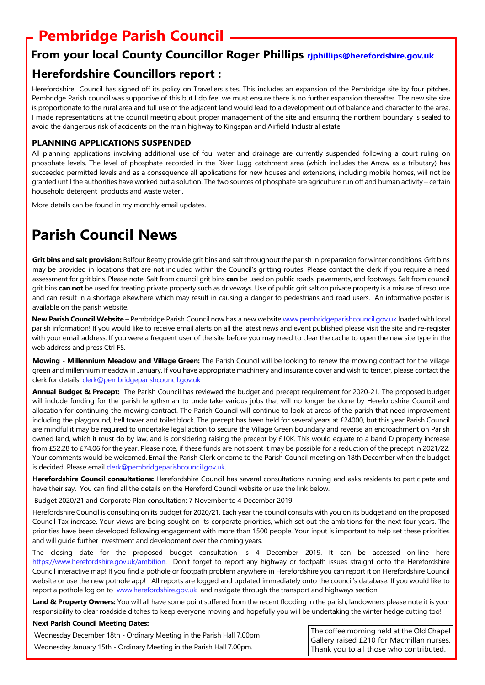### **Pembridge Parish Council**

### **From your local County Councillor Roger Phillips rjphillips@herefordshire.gov.uk**

### **Herefordshire Councillors report :**

Herefordshire Council has signed off its policy on Travellers sites. This includes an expansion of the Pembridge site by four pitches. Pembridge Parish council was supportive of this but I do feel we must ensure there is no further expansion thereafter. The new site size is proportionate to the rural area and full use of the adjacent land would lead to a development out of balance and character to the area. I made representations at the council meeting about proper management of the site and ensuring the northern boundary is sealed to avoid the dangerous risk of accidents on the main highway to Kingspan and Airfield Industrial estate.

### **PLANNING APPLICATIONS SUSPENDED**

All planning applications involving additional use of foul water and drainage are currently suspended following a court ruling on phosphate levels. The level of phosphate recorded in the River Lugg catchment area (which includes the Arrow as a tributary) has succeeded permitted levels and as a consequence all applications for new houses and extensions, including mobile homes, will not be granted until the authorities have worked out a solution. The two sources of phosphate are agriculture run off and human activity – certain household detergent products and waste water .

More details can be found in my monthly email updates.

### **Parish Council News**

**Grit bins and salt provision:** Balfour Beatty provide grit bins and salt throughout the parish in preparation for winter conditions. Grit bins may be provided in locations that are not included within the Council's gritting routes. Please contact the clerk if you require a need assessment for grit bins. Please note: Salt from council grit bins **can** be used on public roads, pavements, and footways. Salt from council grit bins **can not** be used for treating private property such as driveways. Use of public grit salt on private property is a misuse of resource and can result in a shortage elsewhere which may result in causing a danger to pedestrians and road users. An informative poster is available on the parish website.

**New Parish Council Website** – Pembridge Parish Council now has a new website www.pembridgeparishcouncil.gov.uk loaded with local parish information! If you would like to receive email alerts on all the latest news and event published please visit the site and re-register with your email address. If you were a frequent user of the site before you may need to clear the cache to open the new site type in the web address and press Ctrl F5.

**Mowing - Millennium Meadow and Village Green:** The Parish Council will be looking to renew the mowing contract for the village green and millennium meadow in January. If you have appropriate machinery and insurance cover and wish to tender, please contact the clerk for details. clerk@pembridgeparishcouncil.gov.uk

**Annual Budget & Precept:** The Parish Council has reviewed the budget and precept requirement for 2020-21. The proposed budget will include funding for the parish lengthsman to undertake various jobs that will no longer be done by Herefordshire Council and allocation for continuing the mowing contract. The Parish Council will continue to look at areas of the parish that need improvement including the playground, bell tower and toilet block. The precept has been held for several years at £24000, but this year Parish Council are mindful it may be required to undertake legal action to secure the Village Green boundary and reverse an encroachment on Parish owned land, which it must do by law, and is considering raising the precept by £10K. This would equate to a band D property increase from £52.28 to £74.06 for the year. Please note, if these funds are not spent it may be possible for a reduction of the precept in 2021/22. Your comments would be welcomed. Email the Parish Clerk or come to the Parish Council meeting on 18th December when the budget is decided. Please email clerk@pembridgeparishcouncil.gov.uk.

**Herefordshire Council consultations:** Herefordshire Council has several consultations running and asks residents to participate and have their say. You can find all the details on the Hereford Council website or use the link below.

Budget 2020/21 and Corporate Plan consultation: 7 November to 4 December 2019.

Herefordshire Council is consulting on its budget for 2020/21. Each year the council consults with you on its budget and on the proposed Council Tax increase. Your views are being sought on its corporate priorities, which set out the ambitions for the next four years. The priorities have been developed following engagement with more than 1500 people. Your input is important to help set these priorities and will guide further investment and development over the coming years.

The closing date for the proposed budget consultation is 4 December 2019. It can be accessed on-line here https://www.herefordshire.gov.uk/ambition. Don't forget to report any highway or footpath issues straight onto the Herefordshire Council interactive map! If you find a pothole or footpath problem anywhere in Herefordshire you can report it on Herefordshire Council website or use the new pothole app! All reports are logged and updated immediately onto the council's database. If you would like to report a pothole log on to www.herefordshire.gov.uk and navigate through the transport and highways section.

Land & Property Owners: You will all have some point suffered from the recent flooding in the parish, landowners please note it is your responsibility to clear roadside ditches to keep everyone moving and hopefully you will be undertaking the winter hedge cutting too!

### **Next Parish Council Meeting Dates:**

| Wednesday December 18th - Ordinary Meeting in the Parish Hall 7.00pm<br>Wednesday January 15th - Ordinary Meeting in the Parish Hall 7.00pm. | The coffee morning held at the Old Chapel |
|----------------------------------------------------------------------------------------------------------------------------------------------|-------------------------------------------|
|                                                                                                                                              | Gallery raised £210 for Macmillan nurses. |
|                                                                                                                                              | Thank you to all those who contributed.   |